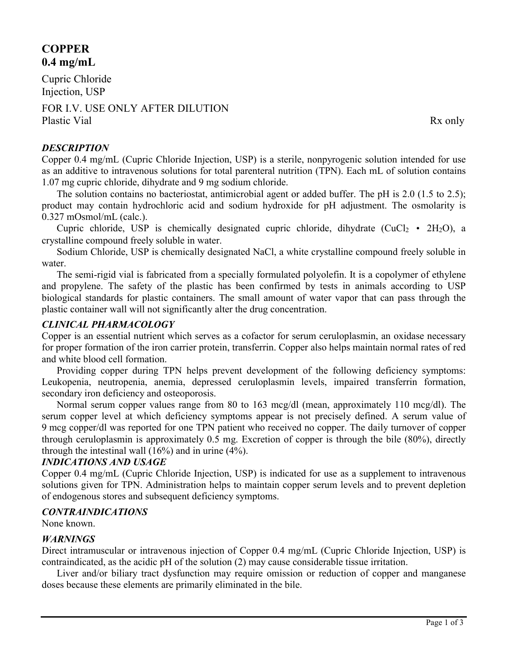# **COPPER 0.4 mg/mL**

Cupric Chloride Injection, USP

FOR I.V. USE ONLY AFTER DILUTION Plastic Vial Rx only

# *DESCRIPTION*

Copper 0.4 mg/mL (Cupric Chloride Injection, USP) is a sterile, nonpyrogenic solution intended for use as an additive to intravenous solutions for total parenteral nutrition (TPN). Each mL of solution contains 1.07 mg cupric chloride, dihydrate and 9 mg sodium chloride.

The solution contains no bacteriostat, antimicrobial agent or added buffer. The pH is 2.0 (1.5 to 2.5); product may contain hydrochloric acid and sodium hydroxide for pH adjustment. The osmolarity is 0.327 mOsmol/mL (calc.).

Cupric chloride, USP is chemically designated cupric chloride, dihydrate (CuCl<sub>2</sub> • 2H<sub>2</sub>O), a crystalline compound freely soluble in water.

Sodium Chloride, USP is chemically designated NaCl, a white crystalline compound freely soluble in water.

The semi-rigid vial is fabricated from a specially formulated polyolefin. It is a copolymer of ethylene and propylene. The safety of the plastic has been confirmed by tests in animals according to USP biological standards for plastic containers. The small amount of water vapor that can pass through the plastic container wall will not significantly alter the drug concentration.

# *CLINICAL PHARMACOLOGY*

Copper is an essential nutrient which serves as a cofactor for serum ceruloplasmin, an oxidase necessary for proper formation of the iron carrier protein, transferrin. Copper also helps maintain normal rates of red and white blood cell formation.

Providing copper during TPN helps prevent development of the following deficiency symptoms: Leukopenia, neutropenia, anemia, depressed ceruloplasmin levels, impaired transferrin formation, secondary iron deficiency and osteoporosis.

Normal serum copper values range from 80 to 163 mcg/dl (mean, approximately 110 mcg/dl). The serum copper level at which deficiency symptoms appear is not precisely defined. A serum value of 9 mcg copper/dl was reported for one TPN patient who received no copper. The daily turnover of copper through ceruloplasmin is approximately 0.5 mg. Excretion of copper is through the bile (80%), directly through the intestinal wall (16%) and in urine (4%).

## *INDICATIONS AND USAGE*

Copper 0.4 mg/mL (Cupric Chloride Injection, USP) is indicated for use as a supplement to intravenous solutions given for TPN. Administration helps to maintain copper serum levels and to prevent depletion of endogenous stores and subsequent deficiency symptoms.

# *CONTRAINDICATIONS*

None known.

## *WARNINGS*

Direct intramuscular or intravenous injection of Copper 0.4 mg/mL (Cupric Chloride Injection, USP) is contraindicated, as the acidic pH of the solution (2) may cause considerable tissue irritation.

Liver and/or biliary tract dysfunction may require omission or reduction of copper and manganese doses because these elements are primarily eliminated in the bile.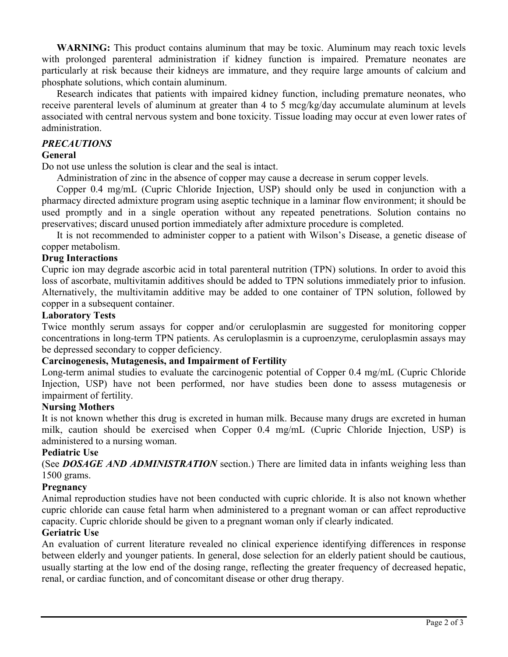**WARNING:** This product contains aluminum that may be toxic. Aluminum may reach toxic levels with prolonged parenteral administration if kidney function is impaired. Premature neonates are particularly at risk because their kidneys are immature, and they require large amounts of calcium and phosphate solutions, which contain aluminum.

Research indicates that patients with impaired kidney function, including premature neonates, who receive parenteral levels of aluminum at greater than 4 to 5 mcg/kg/day accumulate aluminum at levels associated with central nervous system and bone toxicity. Tissue loading may occur at even lower rates of administration.

#### *PRECAUTIONS*

#### **General**

Do not use unless the solution is clear and the seal is intact.

Administration of zinc in the absence of copper may cause a decrease in serum copper levels.

Copper 0.4 mg/mL (Cupric Chloride Injection, USP) should only be used in conjunction with a pharmacy directed admixture program using aseptic technique in a laminar flow environment; it should be used promptly and in a single operation without any repeated penetrations. Solution contains no preservatives; discard unused portion immediately after admixture procedure is completed.

It is not recommended to administer copper to a patient with Wilson's Disease, a genetic disease of copper metabolism.

#### **Drug Interactions**

Cupric ion may degrade ascorbic acid in total parenteral nutrition (TPN) solutions. In order to avoid this loss of ascorbate, multivitamin additives should be added to TPN solutions immediately prior to infusion. Alternatively, the multivitamin additive may be added to one container of TPN solution, followed by copper in a subsequent container.

#### **Laboratory Tests**

Twice monthly serum assays for copper and/or ceruloplasmin are suggested for monitoring copper concentrations in long-term TPN patients. As ceruloplasmin is a cuproenzyme, ceruloplasmin assays may be depressed secondary to copper deficiency.

#### **Carcinogenesis, Mutagenesis, and Impairment of Fertility**

Long-term animal studies to evaluate the carcinogenic potential of Copper 0.4 mg/mL (Cupric Chloride Injection, USP) have not been performed, nor have studies been done to assess mutagenesis or impairment of fertility.

#### **Nursing Mothers**

It is not known whether this drug is excreted in human milk. Because many drugs are excreted in human milk, caution should be exercised when Copper 0.4 mg/mL (Cupric Chloride Injection, USP) is administered to a nursing woman.

#### **Pediatric Use**

(See *DOSAGE AND ADMINISTRATION* section.) There are limited data in infants weighing less than 1500 grams.

#### **Pregnancy**

Animal reproduction studies have not been conducted with cupric chloride. It is also not known whether cupric chloride can cause fetal harm when administered to a pregnant woman or can affect reproductive capacity. Cupric chloride should be given to a pregnant woman only if clearly indicated.

#### **Geriatric Use**

An evaluation of current literature revealed no clinical experience identifying differences in response between elderly and younger patients. In general, dose selection for an elderly patient should be cautious, usually starting at the low end of the dosing range, reflecting the greater frequency of decreased hepatic, renal, or cardiac function, and of concomitant disease or other drug therapy.